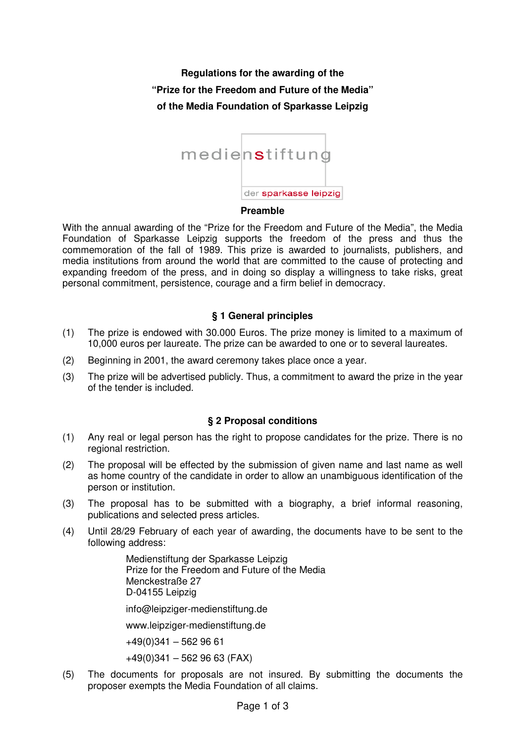**Regulations for the awarding of the "Prize for the Freedom and Future of the Media" of the Media Foundation of Sparkasse Leipzig** 



#### **Preamble**

With the annual awarding of the "Prize for the Freedom and Future of the Media", the Media Foundation of Sparkasse Leipzig supports the freedom of the press and thus the commemoration of the fall of 1989. This prize is awarded to journalists, publishers, and media institutions from around the world that are committed to the cause of protecting and expanding freedom of the press, and in doing so display a willingness to take risks, great personal commitment, persistence, courage and a firm belief in democracy.

# **§ 1 General principles**

- (1) The prize is endowed with 30.000 Euros. The prize money is limited to a maximum of 10,000 euros per laureate. The prize can be awarded to one or to several laureates.
- (2) Beginning in 2001, the award ceremony takes place once a year.
- (3) The prize will be advertised publicly. Thus, a commitment to award the prize in the year of the tender is included.

# **§ 2 Proposal conditions**

- (1) Any real or legal person has the right to propose candidates for the prize. There is no regional restriction.
- (2) The proposal will be effected by the submission of given name and last name as well as home country of the candidate in order to allow an unambiguous identification of the person or institution.
- (3) The proposal has to be submitted with a biography, a brief informal reasoning, publications and selected press articles.
- (4) Until 28/29 February of each year of awarding, the documents have to be sent to the following address:

Medienstiftung der Sparkasse Leipzig Prize for the Freedom and Future of the Media Menckestraße 27 D-04155 Leipzig

info@leipziger-medienstiftung.de

www.leipziger-medienstiftung.de

 $+49(0)341 - 5629661$ 

 $+49(0)341 - 5629663$  (FAX)

(5) The documents for proposals are not insured. By submitting the documents the proposer exempts the Media Foundation of all claims.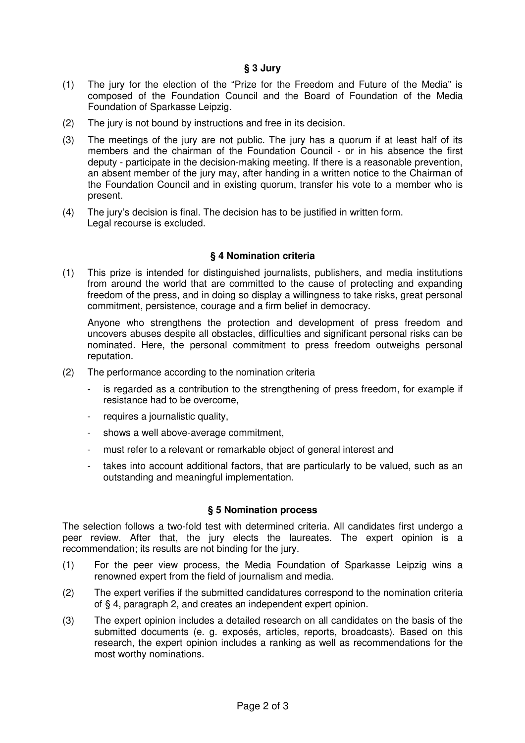# **§ 3 Jury**

- (1) The jury for the election of the "Prize for the Freedom and Future of the Media" is composed of the Foundation Council and the Board of Foundation of the Media Foundation of Sparkasse Leipzig.
- (2) The jury is not bound by instructions and free in its decision.
- (3) The meetings of the jury are not public. The jury has a quorum if at least half of its members and the chairman of the Foundation Council - or in his absence the first deputy - participate in the decision-making meeting. If there is a reasonable prevention, an absent member of the jury may, after handing in a written notice to the Chairman of the Foundation Council and in existing quorum, transfer his vote to a member who is present.
- (4) The jury's decision is final. The decision has to be justified in written form. Legal recourse is excluded.

#### **§ 4 Nomination criteria**

(1) This prize is intended for distinguished journalists, publishers, and media institutions from around the world that are committed to the cause of protecting and expanding freedom of the press, and in doing so display a willingness to take risks, great personal commitment, persistence, courage and a firm belief in democracy.

Anyone who strengthens the protection and development of press freedom and uncovers abuses despite all obstacles, difficulties and significant personal risks can be nominated. Here, the personal commitment to press freedom outweighs personal reputation.

- (2) The performance according to the nomination criteria
	- is regarded as a contribution to the strengthening of press freedom, for example if resistance had to be overcome,
	- requires a journalistic quality,
	- shows a well above-average commitment,
	- must refer to a relevant or remarkable object of general interest and
	- takes into account additional factors, that are particularly to be valued, such as an outstanding and meaningful implementation.

### **§ 5 Nomination process**

The selection follows a two-fold test with determined criteria. All candidates first undergo a peer review. After that, the jury elects the laureates. The expert opinion is a recommendation; its results are not binding for the jury.

- (1) For the peer view process, the Media Foundation of Sparkasse Leipzig wins a renowned expert from the field of journalism and media.
- (2) The expert verifies if the submitted candidatures correspond to the nomination criteria of § 4, paragraph 2, and creates an independent expert opinion.
- (3) The expert opinion includes a detailed research on all candidates on the basis of the submitted documents (e. g. exposés, articles, reports, broadcasts). Based on this research, the expert opinion includes a ranking as well as recommendations for the most worthy nominations.